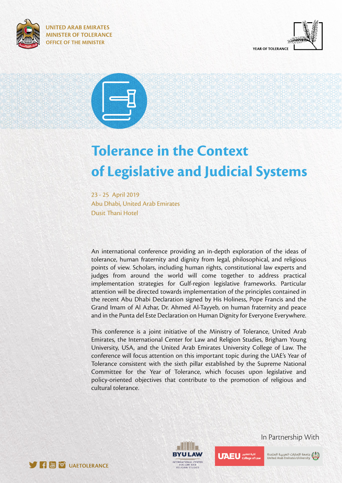





# **Tolerance in the Context of Legislative and Judicial Systems**

23 - 25 April 2019 Abu Dhabi, United Arab Emirates Dusit Thani Hotel

An international conference providing an in-depth exploration of the ideas of tolerance, human fraternity and dignity from legal, philosophical, and religious points of view. Scholars, including human rights, constitutional law experts and judges from around the world will come together to address practical implementation strategies for Gulf-region legislative frameworks. Particular attention will be directed towards implementation of the principles contained in the recent Abu Dhabi Declaration signed by His Holiness, Pope Francis and the Grand Imam of Al Azhar, Dr. Ahmed Al-Tayyeb, on human fraternity and peace and in the Punta del Este Declaration on Human Dignity for Everyone Everywhere.

This conference is a joint initiative of the Ministry of Tolerance, United Arab Emirates, the International Center for Law and Religion Studies, Brigham Young University, USA, and the United Arab Emirates University College of Law. The conference will focus attention on this important topic during the UAE's Year of Tolerance consistent with the sixth pillar established by the Supreme National Committee for the Year of Tolerance, which focuses upon legislative and policy-oriented objectives that contribute to the promotion of religious and cultural tolerance.





In Partnership With



جامعة الإمارات العربيـة المتحدة<br>United Arab Emirates University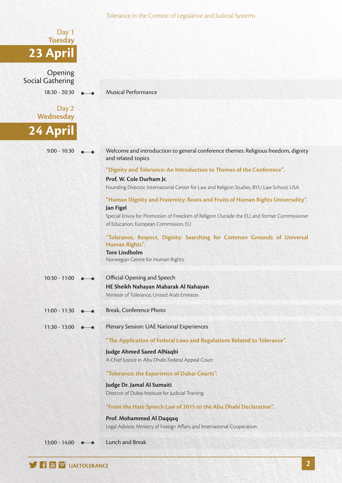|                                          | Tolerance in the Context of Legislative and Judicial Systems                                                                                                                                   |
|------------------------------------------|------------------------------------------------------------------------------------------------------------------------------------------------------------------------------------------------|
| Day 1<br><b>Tuesday</b>                  |                                                                                                                                                                                                |
| 23 April                                 |                                                                                                                                                                                                |
| Opening                                  |                                                                                                                                                                                                |
| <b>Social Gathering</b><br>18:30 - 20:30 | <b>Musical Performance</b>                                                                                                                                                                     |
| Day 2                                    |                                                                                                                                                                                                |
| Wednesday                                |                                                                                                                                                                                                |
| 24 April                                 |                                                                                                                                                                                                |
| $9:00 - 10:30$                           | Welcome and introduction to general conference themes: Religious freedom, dignity<br>and related topics                                                                                        |
|                                          | "Dignity and Tolerance: An Introduction to Themes of the Conference".<br>Prof. W. Cole Durham Jr.<br>Founding Director, International Center for Law and Religion Studies, BYU Law School, USA |
|                                          | "Human Dignity and Fraternity: Roots and Fruits of Human Rights Universality".<br>Jan Figel                                                                                                    |
|                                          | Special Envoy for Promotion of Freedom of Religion Outside the EU, and former Commissioner<br>of Education, European Commission, EU                                                            |
|                                          | "Tolerance, Respect, Dignity: Searching for Common Grounds of Universal<br>Human Rights".                                                                                                      |
|                                          | <b>Tore Lindholm</b><br>Norwegian Centre for Human Rights                                                                                                                                      |
| $10:30 - 11:00$                          | Official Opening and Speech                                                                                                                                                                    |
|                                          | HE Sheikh Nahayan Mabarak Al Nahayan<br>Minister of Tolerance, United Arab Emirates                                                                                                            |
| $11:00 - 11:30$                          | Break, Conference Photo                                                                                                                                                                        |
| $11:30 - 13:00$                          | Plenary Session: UAE National Experiences                                                                                                                                                      |
|                                          | "The Application of Federal Laws and Regulations Related to Tolerance".                                                                                                                        |
|                                          | <b>Judge Ahmed Saeed AlNaqbi</b><br>A Chief Justice in Abu Dhabi Federal Appeal Court                                                                                                          |
|                                          | "Tolerance; the Experience of Dubai Courts".                                                                                                                                                   |
|                                          | Judge Dr. Jamal Al Sumaiti<br>Director of Dubai Institute for Judicial Training                                                                                                                |
|                                          | "From the Hate Speech Law of 2015 to the Abu Dhabi Declaration".                                                                                                                               |
|                                          | Prof. Mohammed Al Daqqaq<br>Legal Advisor, Ministry of Foreign Affairs and International Cooperation                                                                                           |
| 13:00 - 14:00                            | <b>Lunch and Break</b>                                                                                                                                                                         |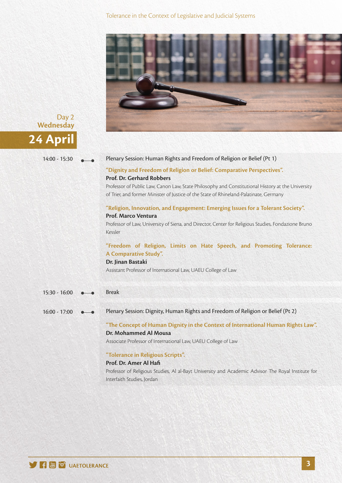Tolerance in the Context of Legislative and Judicial Systems





#### 14:00 - 15:30 Plenary Session: Human Rights and Freedom of Religion or Belief (Pt 1)

# **"Dignity and Freedom of Religion or Belief: Comparative Perspectives". Prof. Dr. Gerhard Robbers**

Professor of Public Law, Canon Law, State Philosophy and Constitutional History at the University of Trier, and former Minister of Justice of the State of Rhineland-Palatinate, Germany

# **"Religion, Innovation, and Engagement: Emerging Issues for a Tolerant Society". Prof. Marco Ventura**

Professor of Law, University of Siena, and Director, Center for Religious Studies, Fondazione Bruno Kessler

# **"Freedom of Religion, Limits on Hate Speech, and Promoting Tolerance: A Comparative Study".**

#### **Dr. Jinan Bastaki**

Assistant Professor of International Law, UAEU College of Law

- 15:30 16:00 **e** Break
- 16:00 17:00 **•••** Plenary Session: Dignity, Human Rights and Freedom of Religion or Belief (Pt 2)

# "The Concept of Human Dignity in the Context of International Human Rights Law". **Dr. Mohammed Al Mousa**

Associate Professor of International Law, UAEU College of Law

### **"Tolerance in Religious Scripts".**

#### **Prof. Dr. Amer Al Hafi**

Professor of Religious Studies, Al al-Bayt University and Academic Advisor The Royal Institute for Interfaith Studies, Jordan